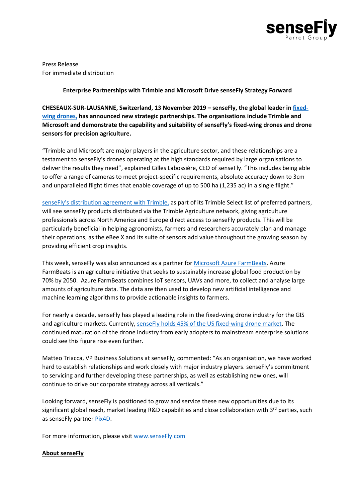

Press Release For immediate distribution

## **Enterprise Partnerships with Trimble and Microsoft Drive senseFly Strategy Forward**

**CHESEAUX-SUR-LAUSANNE, Switzerland, 13 November 2019 – senseFly, the global leader in [fixed](https://www.sensefly.com/drones/)[wing drones,](https://www.sensefly.com/drones/) has announced new strategic partnerships. The organisations include Trimble and Microsoft and demonstrate the capability and suitability of senseFly's fixed-wing drones and drone sensors for precision agriculture.** 

"Trimble and Microsoft are major players in the agriculture sector, and these relationships are a testament to senseFly's drones operating at the high standards required by large organisations to deliver the results they need", explained Gilles Labossière, CEO of senseFly. "This includes being able to offer a range of cameras to meet project-specific requirements, absolute accuracy down to 3cm and unparalleled flight times that enable coverage of up to 500 ha (1,235 ac) in a single flight."

[senseFly's distribution agreement with Trimble](https://www.sensefly.com/2019/09/17/sensefly-trimble-select-preferred-partner/), as part of its Trimble Select list of preferred partners, will see senseFly products distributed via the Trimble Agriculture network, giving agriculture professionals across North America and Europe direct access to senseFly products. This will be particularly beneficial in helping agronomists, farmers and researchers accurately plan and manage their operations, as the eBee X and its suite of sensors add value throughout the growing season by providing efficient crop insights.

This week, senseFly was also announced as a partner for [Microsoft Azure FarmBeats.](https://azure.microsoft.com/en-us/blog/democratizing-agriculture-intelligence-introducing-azure-farmbeats/) Azure FarmBeats is an agriculture initiative that seeks to sustainably increase global food production by 70% by 2050. Azure FarmBeats combines IoT sensors, UAVs and more, to collect and analyse large amounts of agriculture data. The data are then used to develop new artificial intelligence and machine learning algorithms to provide actionable insights to farmers.

For nearly a decade, senseFly has played a leading role in the fixed-wing drone industry for the GIS and agriculture markets. Currently, [senseFly holds 45% of the US fixed-wing drone market.](https://www.sensefly.com/2019/04/03/registration-figures-confirm-sensefly-ebee-most-popular/) The continued maturation of the drone industry from early adopters to mainstream enterprise solutions could see this figure rise even further.

Matteo Triacca, VP Business Solutions at senseFly, commented: "As an organisation, we have worked hard to establish relationships and work closely with major industry players. senseFly's commitment to servicing and further developing these partnerships, as well as establishing new ones, will continue to drive our corporate strategy across all verticals."

Looking forward, senseFly is positioned to grow and service these new opportunities due to its significant global reach, market leading R&D capabilities and close collaboration with  $3^{rd}$  parties, such as senseFly partner [Pix4D.](https://www.sensefly.com/software/pix4d/)

For more information, please visi[t www.senseFly.com](http://www.sensefly.com/)

## **About senseFly**